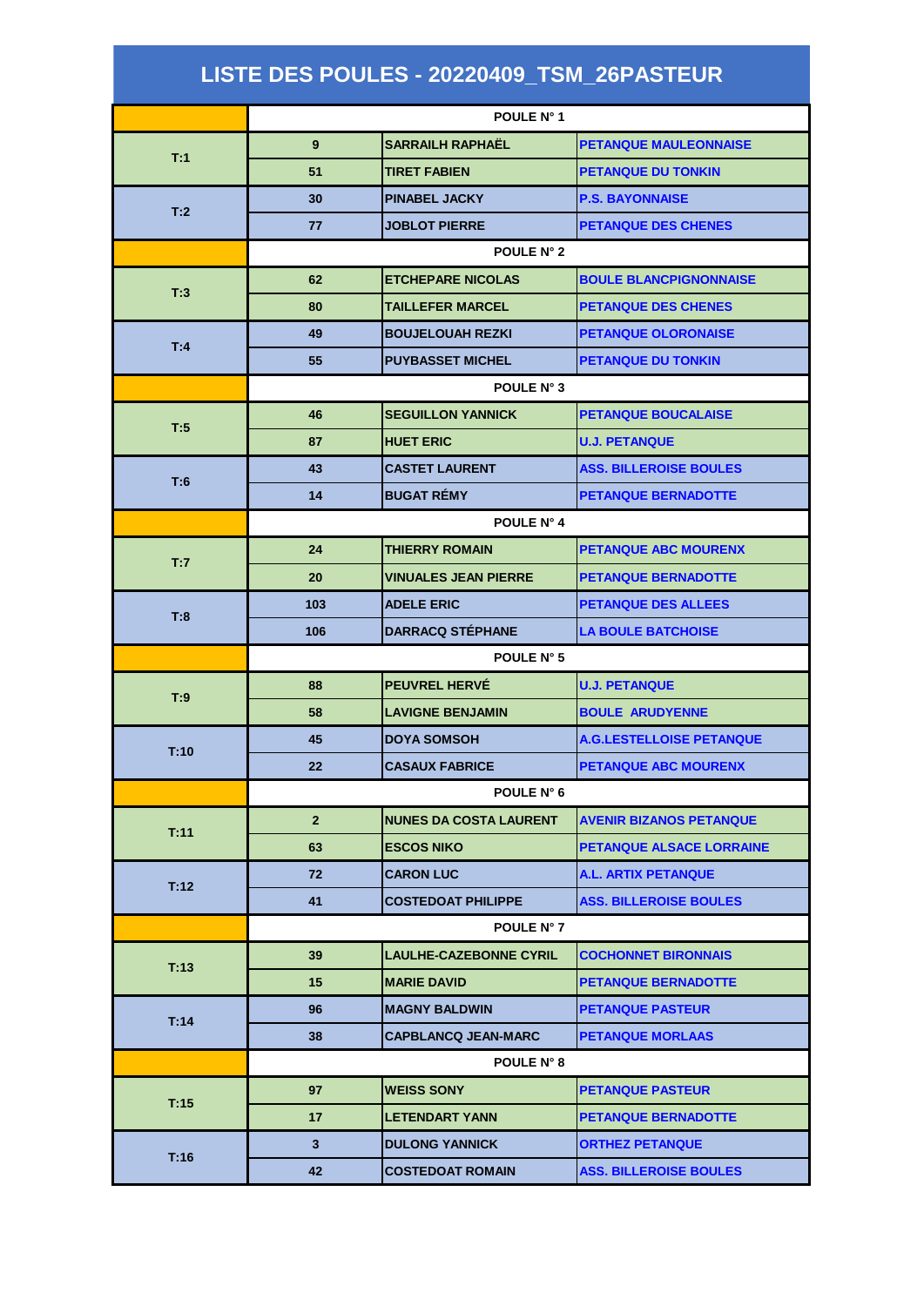## **LISTE DES POULES - 20220409\_TSM\_26PASTEUR**

|      | POULE N° 1        |                               |                                 |  |  |
|------|-------------------|-------------------------------|---------------------------------|--|--|
| T:1  | 9                 | <b>SARRAILH RAPHAËL</b>       | <b>PETANQUE MAULEONNAISE</b>    |  |  |
|      | 51                | <b>TIRET FABIEN</b>           | <b>PETANQUE DU TONKIN</b>       |  |  |
|      | 30                | <b>PINABEL JACKY</b>          | <b>P.S. BAYONNAISE</b>          |  |  |
| T:2  | 77                | <b>JOBLOT PIERRE</b>          | <b>PETANQUE DES CHENES</b>      |  |  |
|      |                   | POULE N° 2                    |                                 |  |  |
|      | 62                | <b>ETCHEPARE NICOLAS</b>      | <b>BOULE BLANCPIGNONNAISE</b>   |  |  |
| T.3  | 80                | <b>TAILLEFER MARCEL</b>       | <b>PETANQUE DES CHENES</b>      |  |  |
|      | 49                | <b>BOUJELOUAH REZKI</b>       | <b>PETANQUE OLORONAISE</b>      |  |  |
| T.4  | 55                | <b>PUYBASSET MICHEL</b>       | <b>PETANQUE DU TONKIN</b>       |  |  |
|      | POULE N° 3        |                               |                                 |  |  |
|      | 46                | <b>SEGUILLON YANNICK</b>      | <b>PETANQUE BOUCALAISE</b>      |  |  |
| T:5  | 87                | <b>HUET ERIC</b>              | <b>U.J. PETANQUE</b>            |  |  |
|      | 43                | <b>CASTET LAURENT</b>         | <b>ASS. BILLEROISE BOULES</b>   |  |  |
| T:6  | 14                | <b>BUGAT RÉMY</b>             | <b>PETANQUE BERNADOTTE</b>      |  |  |
|      | POULE N° 4        |                               |                                 |  |  |
| T:7  | 24                | <b>THIERRY ROMAIN</b>         | <b>PETANQUE ABC MOURENX</b>     |  |  |
|      | 20                | <b>VINUALES JEAN PIERRE</b>   | <b>PETANQUE BERNADOTTE</b>      |  |  |
| T:8  | 103               | <b>ADELE ERIC</b>             | <b>PETANQUE DES ALLEES</b>      |  |  |
|      | 106               | <b>DARRACQ STÉPHANE</b>       | <b>LA BOULE BATCHOISE</b>       |  |  |
|      | POULE N° 5        |                               |                                 |  |  |
| T:9  | 88                | <b>PEUVREL HERVÉ</b>          | <b>U.J. PETANQUE</b>            |  |  |
|      | 58                | <b>LAVIGNE BENJAMIN</b>       | <b>BOULE ARUDYENNE</b>          |  |  |
| T:10 | 45                | <b>DOYA SOMSOH</b>            | <b>A.G.LESTELLOISE PETANQUE</b> |  |  |
|      | 22                | <b>CASAUX FABRICE</b>         | <b>PETANQUE ABC MOURENX</b>     |  |  |
|      | <b>POULE N° 6</b> |                               |                                 |  |  |
| T:11 | 2 <sup>1</sup>    | <b>NUNES DA COSTA LAURENT</b> | <b>AVENIR BIZANOS PETANQUE</b>  |  |  |
|      | 63                | <b>ESCOS NIKO</b>             | <b>PETANQUE ALSACE LORRAINE</b> |  |  |
| T.12 | 72                | <b>CARON LUC</b>              | <b>A.L. ARTIX PETANQUE</b>      |  |  |
|      | 41                | <b>COSTEDOAT PHILIPPE</b>     | <b>ASS. BILLEROISE BOULES</b>   |  |  |
|      | <b>POULE N° 7</b> |                               |                                 |  |  |
| T:13 | 39                | <b>LAULHE-CAZEBONNE CYRIL</b> | <b>COCHONNET BIRONNAIS</b>      |  |  |
|      | 15                | <b>MARIE DAVID</b>            | <b>PETANQUE BERNADOTTE</b>      |  |  |
| T.14 | 96                | <b>MAGNY BALDWIN</b>          | <b>PETANQUE PASTEUR</b>         |  |  |
|      | 38                | <b>CAPBLANCQ JEAN-MARC</b>    | <b>PETANQUE MORLAAS</b>         |  |  |
|      |                   | <b>POULE N° 8</b>             |                                 |  |  |
| T:15 | 97                | <b>WEISS SONY</b>             | <b>PETANQUE PASTEUR</b>         |  |  |
|      | 17                | <b>LETENDART YANN</b>         | <b>PETANQUE BERNADOTTE</b>      |  |  |
| T.16 | 3 <sup>1</sup>    | <b>DULONG YANNICK</b>         | <b>ORTHEZ PETANQUE</b>          |  |  |
|      | 42                | <b>COSTEDOAT ROMAIN</b>       | <b>ASS. BILLEROISE BOULES</b>   |  |  |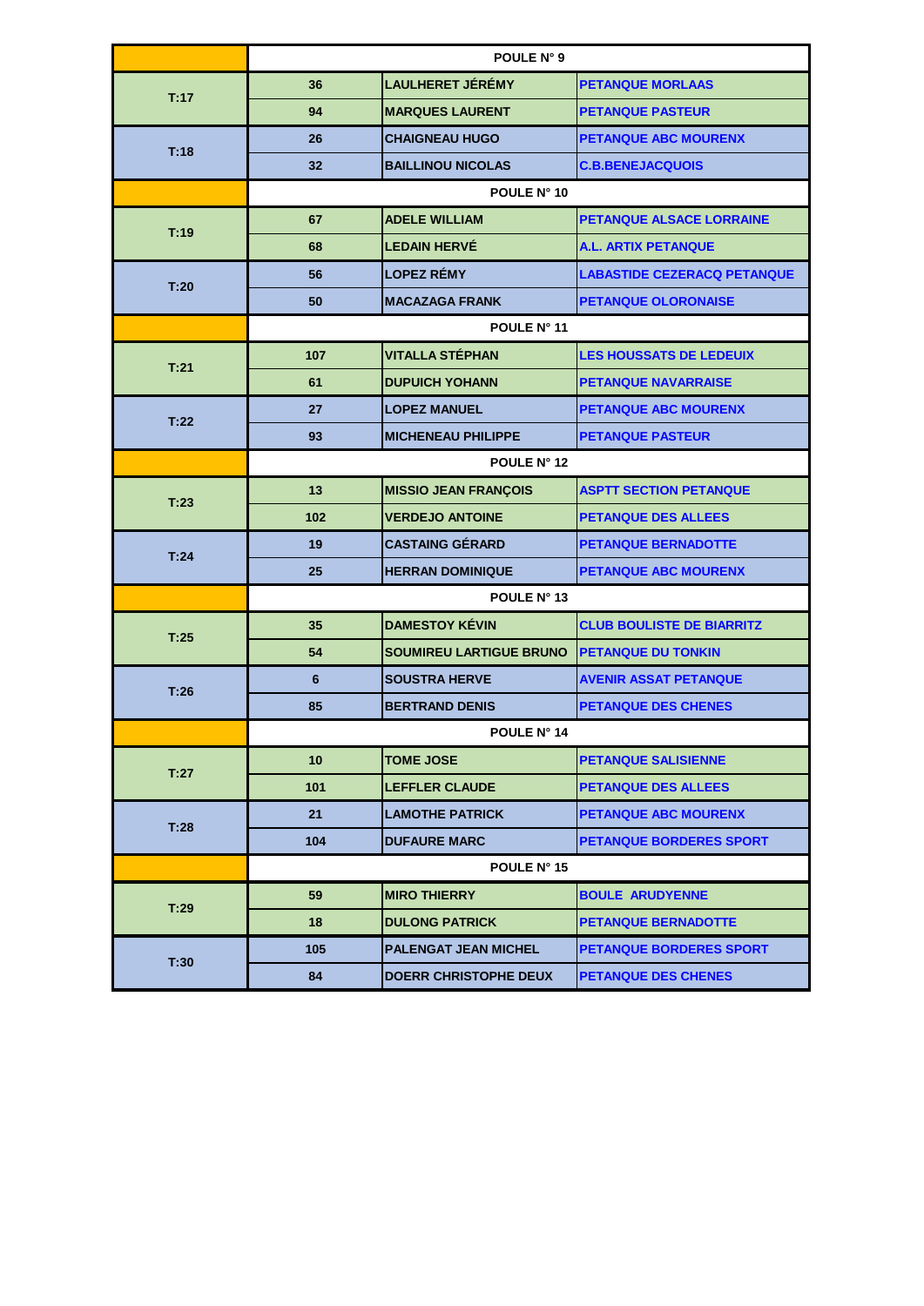|      | POULE N° 9      |                                |                                    |  |  |  |
|------|-----------------|--------------------------------|------------------------------------|--|--|--|
| T:17 | 36              | <b>LAULHERET JÉRÉMY</b>        | <b>PETANQUE MORLAAS</b>            |  |  |  |
|      | 94              | <b>MARQUES LAURENT</b>         | <b>PETANQUE PASTEUR</b>            |  |  |  |
| T:18 | 26              | <b>CHAIGNEAU HUGO</b>          | <b>PETANQUE ABC MOURENX</b>        |  |  |  |
|      | 32 <sub>2</sub> | <b>BAILLINOU NICOLAS</b>       | <b>C.B.BENEJACQUOIS</b>            |  |  |  |
|      |                 | POULE N° 10                    |                                    |  |  |  |
| T:19 | 67              | <b>ADELE WILLIAM</b>           | <b>PETANQUE ALSACE LORRAINE</b>    |  |  |  |
|      | 68              | <b>LEDAIN HERVÉ</b>            | <b>A.L. ARTIX PETANQUE</b>         |  |  |  |
| T:20 | 56              | <b>LOPEZ RÉMY</b>              | <b>LABASTIDE CEZERACQ PETANQUE</b> |  |  |  |
|      | 50              | <b>MACAZAGA FRANK</b>          | <b>PETANQUE OLORONAISE</b>         |  |  |  |
|      | POULE N° 11     |                                |                                    |  |  |  |
| T:21 | 107             | <b>VITALLA STÉPHAN</b>         | <b>LES HOUSSATS DE LEDEUIX</b>     |  |  |  |
|      | 61              | <b>DUPUICH YOHANN</b>          | <b>PETANQUE NAVARRAISE</b>         |  |  |  |
| T:22 | 27              | <b>LOPEZ MANUEL</b>            | <b>PETANQUE ABC MOURENX</b>        |  |  |  |
|      | 93              | <b>MICHENEAU PHILIPPE</b>      | <b>PETANQUE PASTEUR</b>            |  |  |  |
|      | POULE N° 12     |                                |                                    |  |  |  |
| T:23 | 13              | <b>MISSIO JEAN FRANÇOIS</b>    | <b>ASPTT SECTION PETANQUE</b>      |  |  |  |
|      | 102             | <b>VERDEJO ANTOINE</b>         | <b>PETANQUE DES ALLEES</b>         |  |  |  |
|      | 19              | <b>CASTAING GÉRARD</b>         | <b>PETANQUE BERNADOTTE</b>         |  |  |  |
| T:24 | 25              | <b>HERRAN DOMINIQUE</b>        | <b>PETANQUE ABC MOURENX</b>        |  |  |  |
|      | POULE N° 13     |                                |                                    |  |  |  |
| T:25 | 35              | <b>DAMESTOY KÉVIN</b>          | <b>CLUB BOULISTE DE BIARRITZ</b>   |  |  |  |
|      | 54              | <b>SOUMIREU LARTIGUE BRUNO</b> | <b>PETANQUE DU TONKIN</b>          |  |  |  |
| T:26 | 6               | <b>SOUSTRA HERVE</b>           | <b>AVENIR ASSAT PETANQUE</b>       |  |  |  |
|      | 85              | <b>BERTRAND DENIS</b>          | <b>PETANQUE DES CHENES</b>         |  |  |  |
|      | POULE N° 14     |                                |                                    |  |  |  |
|      | 10              | <b>TOME JOSE</b>               | <b>PETANQUE SALISIENNE</b>         |  |  |  |
| T:27 | 101             | <b>LEFFLER CLAUDE</b>          | <b>PETANQUE DES ALLEES</b>         |  |  |  |
|      | 21              | <b>LAMOTHE PATRICK</b>         | PETANQUE ABC MOURENX               |  |  |  |
| T:28 | 104             | <b>DUFAURE MARC</b>            | <b>PETANQUE BORDERES SPORT</b>     |  |  |  |
|      |                 | POULE N° 15                    |                                    |  |  |  |
| T:29 | 59              | <b>MIRO THIERRY</b>            | <b>BOULE ARUDYENNE</b>             |  |  |  |
|      | 18              | <b>DULONG PATRICK</b>          | <b>PETANQUE BERNADOTTE</b>         |  |  |  |
| T:30 | 105             | <b>PALENGAT JEAN MICHEL</b>    | <b>PETANQUE BORDERES SPORT</b>     |  |  |  |
|      | 84              | <b>DOERR CHRISTOPHE DEUX</b>   | <b>PETANQUE DES CHENES</b>         |  |  |  |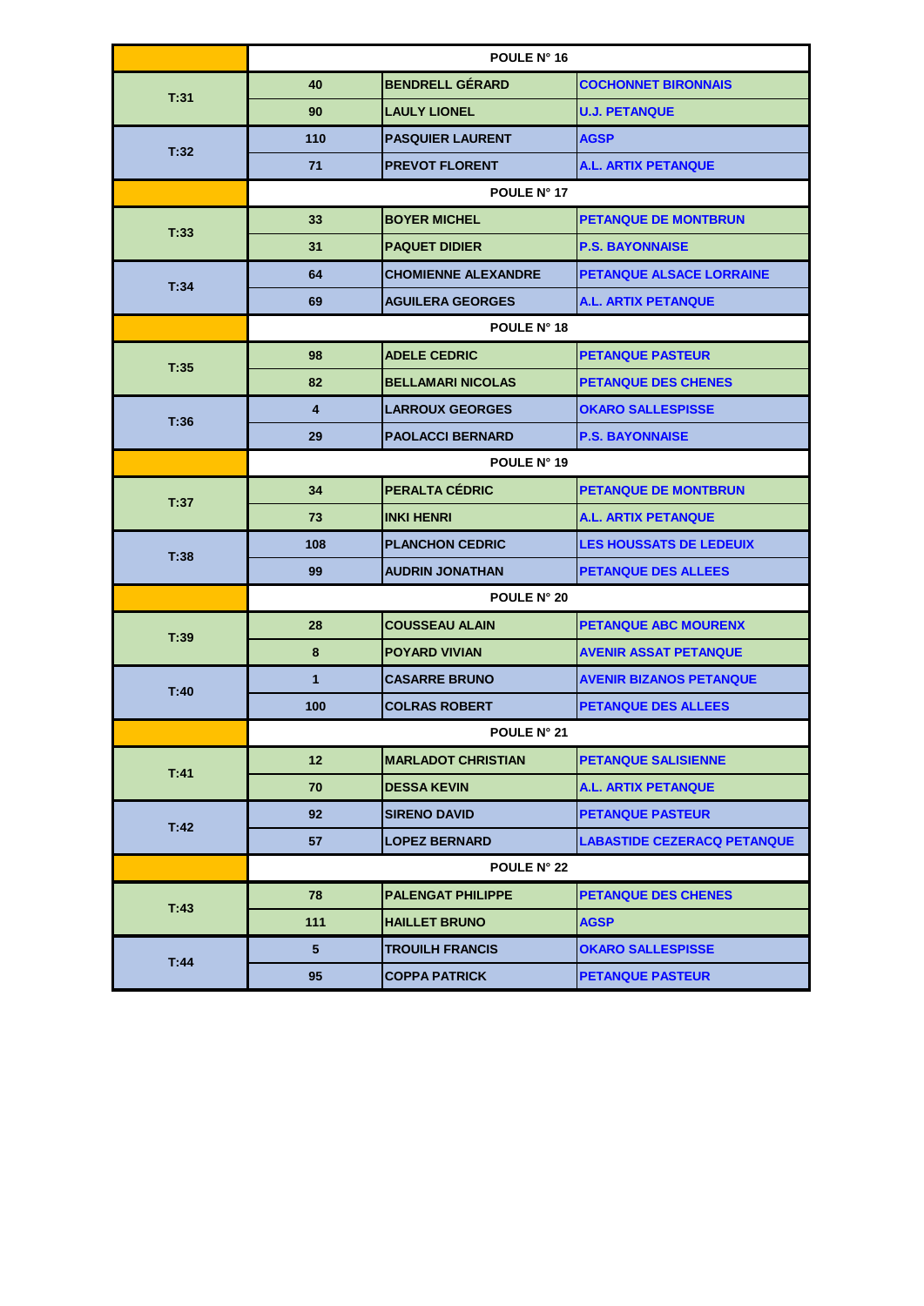|      | POULE N° 16             |                            |                                    |  |  |  |
|------|-------------------------|----------------------------|------------------------------------|--|--|--|
| T:31 | 40                      | <b>BENDRELL GÉRARD</b>     | <b>COCHONNET BIRONNAIS</b>         |  |  |  |
|      | 90                      | <b>LAULY LIONEL</b>        | <b>U.J. PETANQUE</b>               |  |  |  |
| T.32 | 110                     | <b>PASQUIER LAURENT</b>    | <b>AGSP</b>                        |  |  |  |
|      | 71                      | <b>PREVOT FLORENT</b>      | <b>A.L. ARTIX PETANQUE</b>         |  |  |  |
|      |                         | POULE N° 17                |                                    |  |  |  |
|      | 33                      | <b>BOYER MICHEL</b>        | <b>PETANQUE DE MONTBRUN</b>        |  |  |  |
| T:33 | 31                      | <b>PAQUET DIDIER</b>       | <b>P.S. BAYONNAISE</b>             |  |  |  |
| T:34 | 64                      | <b>CHOMIENNE ALEXANDRE</b> | <b>PETANQUE ALSACE LORRAINE</b>    |  |  |  |
|      | 69                      | <b>AGUILERA GEORGES</b>    | <b>A.L. ARTIX PETANQUE</b>         |  |  |  |
|      | POULE N° 18             |                            |                                    |  |  |  |
| T:35 | 98                      | <b>ADELE CEDRIC</b>        | <b>PETANQUE PASTEUR</b>            |  |  |  |
|      | 82                      | <b>BELLAMARI NICOLAS</b>   | <b>PETANQUE DES CHENES</b>         |  |  |  |
|      | $\overline{\mathbf{4}}$ | <b>LARROUX GEORGES</b>     | <b>OKARO SALLESPISSE</b>           |  |  |  |
| T:36 | 29                      | <b>PAOLACCI BERNARD</b>    | <b>P.S. BAYONNAISE</b>             |  |  |  |
|      | POULE N° 19             |                            |                                    |  |  |  |
|      | 34                      | PERALTA CÉDRIC             | <b>PETANQUE DE MONTBRUN</b>        |  |  |  |
| T:37 | 73                      | <b>INKI HENRI</b>          | <b>A.L. ARTIX PETANQUE</b>         |  |  |  |
|      | 108                     | <b>PLANCHON CEDRIC</b>     | <b>LES HOUSSATS DE LEDEUIX</b>     |  |  |  |
| T:38 | 99                      | <b>AUDRIN JONATHAN</b>     | <b>PETANQUE DES ALLEES</b>         |  |  |  |
|      | <b>POULE N° 20</b>      |                            |                                    |  |  |  |
| T:39 | 28                      | <b>COUSSEAU ALAIN</b>      | <b>PETANQUE ABC MOURENX</b>        |  |  |  |
|      | 8                       | <b>POYARD VIVIAN</b>       | <b>AVENIR ASSAT PETANQUE</b>       |  |  |  |
|      | $\mathbf{1}$            | <b>CASARRE BRUNO</b>       | <b>AVENIR BIZANOS PETANQUE</b>     |  |  |  |
| T:40 | 100                     | <b>COLRAS ROBERT</b>       | <b>PETANQUE DES ALLEES</b>         |  |  |  |
|      | POULE N° 21             |                            |                                    |  |  |  |
|      | 12                      | <b>MARLADOT CHRISTIAN</b>  | <b>PETANQUE SALISIENNE</b>         |  |  |  |
| T:41 | 70                      | <b>DESSA KEVIN</b>         | <b>A.L. ARTIX PETANQUE</b>         |  |  |  |
|      | 92                      | <b>SIRENO DAVID</b>        | <b>PETANQUE PASTEUR</b>            |  |  |  |
| T:42 | 57                      | <b>LOPEZ BERNARD</b>       | <b>LABASTIDE CEZERACQ PETANQUE</b> |  |  |  |
|      |                         | <b>POULE N° 22</b>         |                                    |  |  |  |
| T:43 | 78                      | <b>PALENGAT PHILIPPE</b>   | <b>PETANQUE DES CHENES</b>         |  |  |  |
|      | 111                     | <b>HAILLET BRUNO</b>       | <b>AGSP</b>                        |  |  |  |
| T:44 | 5                       | <b>TROUILH FRANCIS</b>     | <b>OKARO SALLESPISSE</b>           |  |  |  |
|      | 95                      | <b>COPPA PATRICK</b>       | <b>PETANQUE PASTEUR</b>            |  |  |  |